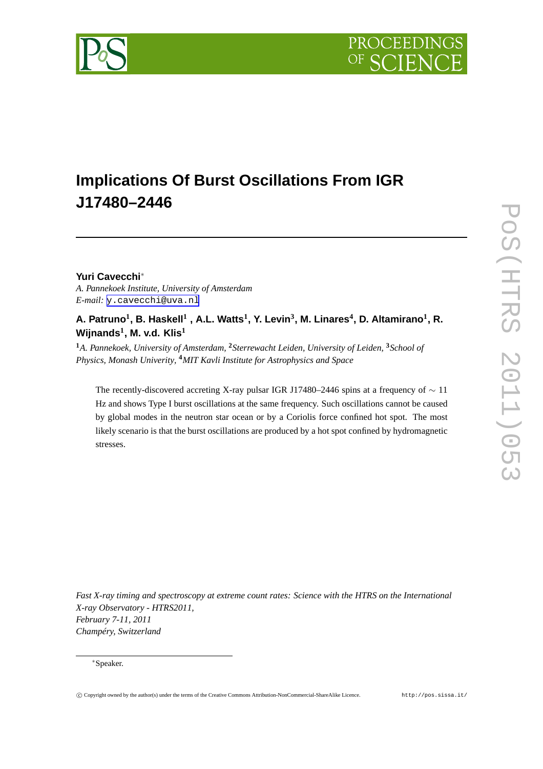



# **Implications Of Burst Oscillations From IGR J17480–2446**

## **Yuri Cavecchi**∗

*A. Pannekoek Institute, University of Amsterdam E-mail:* [y.cavecchi@uva.nl](mailto:y.cavecchi@uva.nl)

# **A. Patruno<sup>1</sup> , B. Haskell<sup>1</sup> , A.L. Watts<sup>1</sup> , Y. Levin<sup>3</sup> , M. Linares<sup>4</sup> , D. Altamirano<sup>1</sup> , R. Wijnands<sup>1</sup> , M. v.d. Klis<sup>1</sup>**

**<sup>1</sup>***A. Pannekoek, University of Amsterdam,* **<sup>2</sup>***Sterrewacht Leiden, University of Leiden,* **<sup>3</sup>***School of Physics, Monash Univerity,* **<sup>4</sup>***MIT Kavli Institute for Astrophysics and Space*

The recently-discovered accreting X-ray pulsar IGR J17480–2446 spins at a frequency of ∼ 11 Hz and shows Type I burst oscillations at the same frequency. Such oscillations cannot be caused by global modes in the neutron star ocean or by a Coriolis force confined hot spot. The most likely scenario is that the burst oscillations are produced by a hot spot confined by hydromagnetic stresses.

*Fast X-ray timing and spectroscopy at extreme count rates: Science with the HTRS on the International X-ray Observatory - HTRS2011, February 7-11, 2011 Champéry, Switzerland*

<sup>∗</sup>Speaker.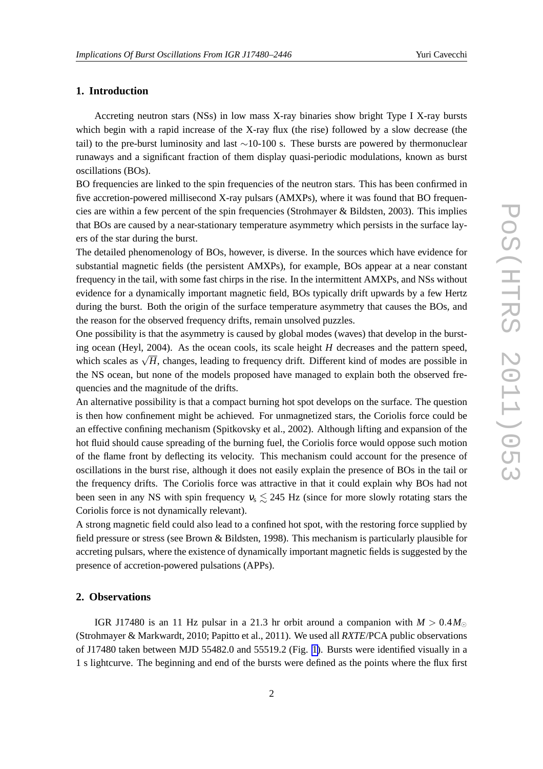## **1. Introduction**

Accreting neutron stars (NSs) in low mass X-ray binaries show bright Type I X-ray bursts which begin with a rapid increase of the X-ray flux (the rise) followed by a slow decrease (the tail) to the pre-burst luminosity and last ∼10-100 s. These bursts are powered by thermonuclear runaways and a significant fraction of them display quasi-periodic modulations, known as burst oscillations (BOs).

BO frequencies are linked to the spin frequencies of the neutron stars. This has been confirmed in five accretion-powered millisecond X-ray pulsars (AMXPs), where it was found that BO frequencies are within a few percent of the spin frequencies (Strohmayer & Bildsten, 2003). This implies that BOs are caused by a near-stationary temperature asymmetry which persists in the surface layers of the star during the burst.

The detailed phenomenology of BOs, however, is diverse. In the sources which have evidence for substantial magnetic fields (the persistent AMXPs), for example, BOs appear at a near constant frequency in the tail, with some fast chirps in the rise. In the intermittent AMXPs, and NSs without evidence for a dynamically important magnetic field, BOs typically drift upwards by a few Hertz during the burst. Both the origin of the surface temperature asymmetry that causes the BOs, and the reason for the observed frequency drifts, remain unsolved puzzles.

One possibility is that the asymmetry is caused by global modes (waves) that develop in the bursting ocean (Heyl, 2004). As the ocean cools, its scale height *H* decreases and the pattern speed, which scales as  $\sqrt{H}$ , changes, leading to frequency drift. Different kind of modes are possible in the NS ocean, but none of the models proposed have managed to explain both the observed frequencies and the magnitude of the drifts.

An alternative possibility is that a compact burning hot spot develops on the surface. The question is then how confinement might be achieved. For unmagnetized stars, the Coriolis force could be an effective confining mechanism (Spitkovsky et al., 2002). Although lifting and expansion of the hot fluid should cause spreading of the burning fuel, the Coriolis force would oppose such motion of the flame front by deflecting its velocity. This mechanism could account for the presence of oscillations in the burst rise, although it does not easily explain the presence of BOs in the tail or the frequency drifts. The Coriolis force was attractive in that it could explain why BOs had not been seen in any NS with spin frequency  $v_s \le 245$  Hz (since for more slowly rotating stars the Coriolis force is not dynamically relevant).

A strong magnetic field could also lead to a confined hot spot, with the restoring force supplied by field pressure or stress (see Brown & Bildsten, 1998). This mechanism is particularly plausible for accreting pulsars, where the existence of dynamically important magnetic fields is suggested by the presence of accretion-powered pulsations (APPs).

#### **2. Observations**

IGR J17480 is an 11 Hz pulsar in a 21.3 hr orbit around a companion with  $M > 0.4 M_{\odot}$ (Strohmayer & Markwardt, 2010; Papitto et al., 2011). We used all *RXTE*/PCA public observations of J17480 taken between MJD 55482.0 and 55519.2 (Fig. [1\)](#page-2-0). Bursts were identified visually in a 1 s lightcurve. The beginning and end of the bursts were defined as the points where the flux first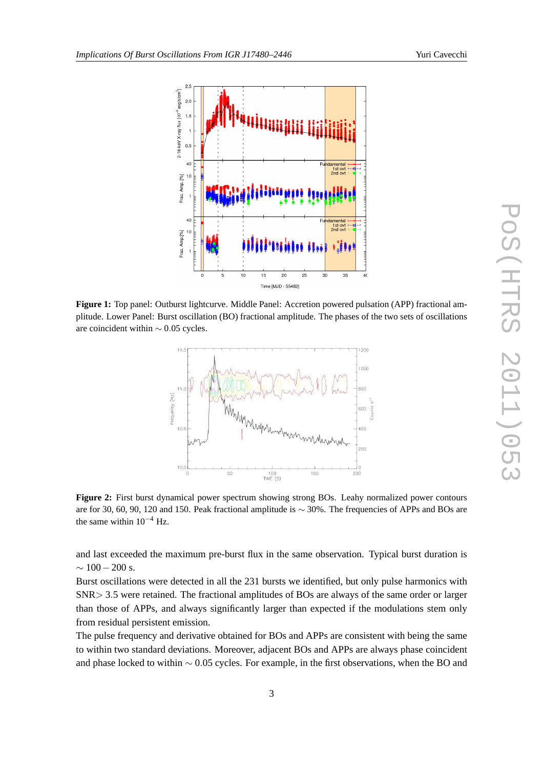<span id="page-2-0"></span>

**Figure 1:** Top panel: Outburst lightcurve. Middle Panel: Accretion powered pulsation (APP) fractional amplitude. Lower Panel: Burst oscillation (BO) fractional amplitude. The phases of the two sets of oscillations are coincident within ∼ 0.05 cycles.



**Figure 2:** First burst dynamical power spectrum showing strong BOs. Leahy normalized power contours are for 30, 60, 90, 120 and 150. Peak fractional amplitude is ∼ 30%. The frequencies of APPs and BOs are the same within  $10^{-4}$  Hz.

and last exceeded the maximum pre-burst flux in the same observation. Typical burst duration is  $\sim 100 - 200$  s.

Burst oscillations were detected in all the 231 bursts we identified, but only pulse harmonics with SNR> 3.5 were retained. The fractional amplitudes of BOs are always of the same order or larger than those of APPs, and always significantly larger than expected if the modulations stem only from residual persistent emission.

The pulse frequency and derivative obtained for BOs and APPs are consistent with being the same to within two standard deviations. Moreover, adjacent BOs and APPs are always phase coincident and phase locked to within ∼ 0.05 cycles. For example, in the first observations, when the BO and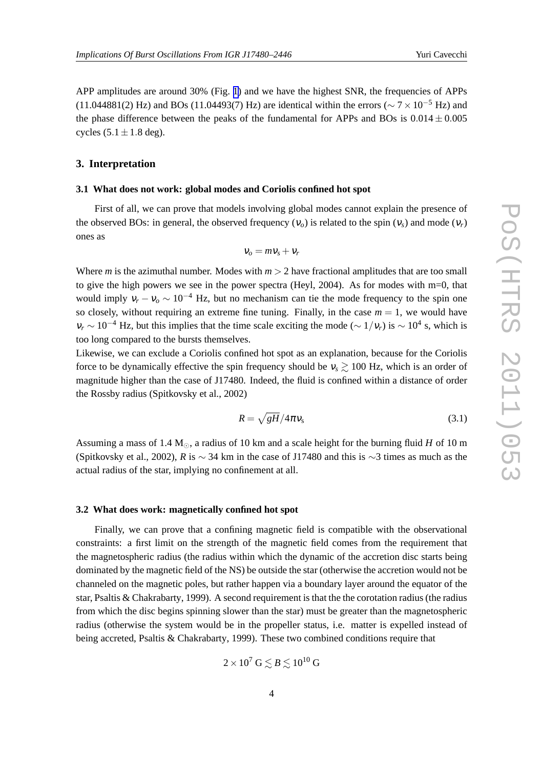APP amplitudes are around 30% (Fig. [1\)](#page-2-0) and we have the highest SNR, the frequencies of APPs (11.044881(2) Hz) and BOs (11.04493(7) Hz) are identical within the errors ( $\sim$  7 × 10<sup>-5</sup> Hz) and the phase difference between the peaks of the fundamental for APPs and BOs is  $0.014 \pm 0.005$ cycles  $(5.1 \pm 1.8$  deg).

#### **3. Interpretation**

#### **3.1 What does not work: global modes and Coriolis confined hot spot**

First of all, we can prove that models involving global modes cannot explain the presence of the observed BOs: in general, the observed frequency  $(V_o)$  is related to the spin  $(V_s)$  and mode  $(V_r)$ ones as

$$
v_o = m v_s + v_r
$$

Where *m* is the azimuthal number. Modes with  $m > 2$  have fractional amplitudes that are too small to give the high powers we see in the power spectra (Heyl, 2004). As for modes with  $m=0$ , that would imply  $v_r - v_o \sim 10^{-4}$  Hz, but no mechanism can tie the mode frequency to the spin one so closely, without requiring an extreme fine tuning. Finally, in the case  $m = 1$ , we would have  $v_r \sim 10^{-4}$  Hz, but this implies that the time scale exciting the mode ( $\sim 1/v_r$ ) is  $\sim 10^4$  s, which is too long compared to the bursts themselves.

Likewise, we can exclude a Coriolis confined hot spot as an explanation, because for the Coriolis force to be dynamically effective the spin frequency should be  $v_s \gtrsim 100$  Hz, which is an order of magnitude higher than the case of J17480. Indeed, the fluid is confined within a distance of order the Rossby radius (Spitkovsky et al., 2002)

$$
R = \sqrt{gH}/4\pi v_s \tag{3.1}
$$

Assuming a mass of 1.4 M<sub>☉</sub>, a radius of 10 km and a scale height for the burning fluid *H* of 10 m (Spitkovsky et al., 2002), *R* is  $\sim$  34 km in the case of J17480 and this is  $\sim$ 3 times as much as the actual radius of the star, implying no confinement at all.

#### **3.2 What does work: magnetically confined hot spot**

Finally, we can prove that a confining magnetic field is compatible with the observational constraints: a first limit on the strength of the magnetic field comes from the requirement that the magnetospheric radius (the radius within which the dynamic of the accretion disc starts being dominated by the magnetic field of the NS) be outside the star (otherwise the accretion would not be channeled on the magnetic poles, but rather happen via a boundary layer around the equator of the star, Psaltis & Chakrabarty, 1999). A second requirement is that the the corotation radius (the radius from which the disc begins spinning slower than the star) must be greater than the magnetospheric radius (otherwise the system would be in the propeller status, i.e. matter is expelled instead of being accreted, Psaltis & Chakrabarty, 1999). These two combined conditions require that

$$
2 \times 10^7 \,\text{G} \lesssim B \lesssim 10^{10} \,\text{G}
$$